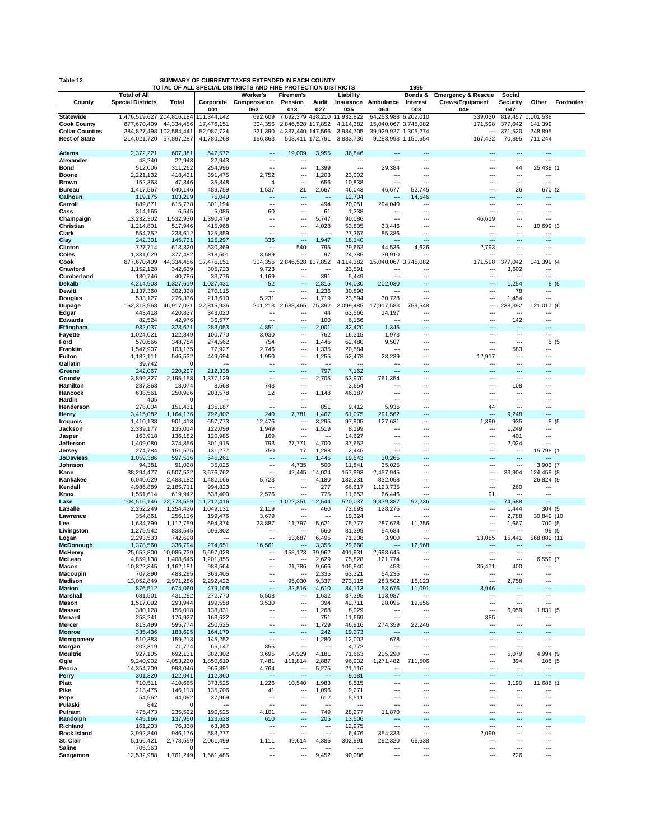| Table 12<br>SUMMARY OF CURRENT TAXES EXTENDED IN EACH COUNTY<br>TOTAL OF ALL SPECIAL DISTRICTS AND FIRE PROTECTION DISTRICTS<br>1995 |                              |                         |                           |                                      |                                       |                                   |                                     |                                              |                  |                               |                                                      |                          |                  |
|--------------------------------------------------------------------------------------------------------------------------------------|------------------------------|-------------------------|---------------------------|--------------------------------------|---------------------------------------|-----------------------------------|-------------------------------------|----------------------------------------------|------------------|-------------------------------|------------------------------------------------------|--------------------------|------------------|
|                                                                                                                                      | <b>Total of All</b>          |                         |                           | Worker's                             | Firemen's                             |                                   | Liability                           |                                              | Bonds &          | <b>Emergency &amp; Rescue</b> | Social                                               |                          |                  |
| County                                                                                                                               | <b>Special Districts</b>     | Total                   | Corporate                 | Compensation                         | Pension                               | Audit                             |                                     | Insurance Ambulance                          | Interest         | <b>Crews/Equipment</b>        | <b>Security</b>                                      | Other                    | <b>Footnotes</b> |
|                                                                                                                                      |                              | 204,816,184             | 001                       | 062<br>692,609                       | 013                                   | 027                               | 035<br>7,692,379 438,210 11,932,822 | 064                                          | 003              | 049                           | 047                                                  |                          |                  |
| <b>Statewide</b><br><b>Cook County</b>                                                                                               | 1,476,519,627<br>877,670,409 | 44,334,456              | 111,344,142<br>17,476,151 | 304,356                              | 2,846,528 117,852                     |                                   | 4,114,382                           | 64,253,988 6,202,010<br>15,040,067 3,745,082 |                  | 339,030<br>171,598            | 819,457<br>377,042                                   | 1,101,538<br>141,399     |                  |
| <b>Collar Counties</b>                                                                                                               | 384,827,498                  | 102,584,441             | 52,087,724                | 221,390                              | 4,337,440 147,566                     |                                   | 3,934,705                           | 39,929,927 1,305,274                         |                  | ---                           | 371,520                                              | 248,895                  |                  |
| <b>Rest of State</b>                                                                                                                 | 214,021,720                  | 57,897,287              | 41,780,268                | 166,863                              | 508,411 172,791                       |                                   | 3,883,736                           | 9,283,993 1,151,654                          |                  | 167,432                       | 70,895                                               | 711,244                  |                  |
|                                                                                                                                      |                              |                         |                           | ---                                  |                                       |                                   |                                     |                                              |                  | $\overline{a}$                | $-$                                                  |                          |                  |
| Adams<br>Alexander                                                                                                                   | 2,372,221<br>48,240          | 607,381<br>22,943       | 547,572<br>22,943         | ---                                  | 19,009<br>---                         | 3,955<br>---                      | 36,846<br>---                       | …                                            |                  | ---                           |                                                      | ---                      |                  |
| Bond                                                                                                                                 | 512,006                      | 311,262                 | 254,996                   | $\overline{a}$                       | $\overline{\phantom{a}}$              | 1,399                             | $\sim$                              | 29,384                                       |                  | ---                           | 44                                                   | 25,439 (1                |                  |
| <b>Boone</b>                                                                                                                         | 2,221,132                    | 418,431                 | 391,475                   | 2,752                                | $\overline{\phantom{a}}$              | 1,203                             | 23,002                              | ٠.,                                          | ---              | ---                           | ---                                                  |                          |                  |
| <b>Brown</b>                                                                                                                         | 152,363                      | 47,346                  | 35,848                    | 4                                    | ---                                   | 656                               | 10,838                              | ---                                          | ---              |                               | $\cdots$                                             | …                        |                  |
| <b>Bureau</b><br>Calhoun                                                                                                             | 1,417,567<br>119,175         | 640,146<br>103,299      | 489,759<br>76,049         | 1,537<br>---                         | 21<br>$\overline{\phantom{a}}$        | 2,667<br>---                      | 46,043<br>12,704                    | 46,677<br>                                   | 52,745<br>14,546 | ---<br>---                    | 26<br>$\overline{a}$                                 | 670 (2<br>---            |                  |
| Carroll                                                                                                                              | 889,871                      | 615,778                 | 301,194                   | $\overline{a}$                       | $\overline{\phantom{a}}$              | 494                               | 20,051                              | 294,040                                      | ---              | $--$                          | $\sim$                                               | $\cdots$                 |                  |
| Cass                                                                                                                                 | 314,165                      | 6,545                   | 5,086                     | 60                                   | ---                                   | 61                                | 1,338                               | ---                                          | ---              | ---                           | ---                                                  | ---                      |                  |
| Champaign                                                                                                                            | 13,232,302                   | 1,532,930               | 1,390,479                 | $---$                                | $\overline{\phantom{a}}$              | 5,747                             | 90,086                              | ---                                          |                  | 46,619                        | $\cdots$                                             | ---                      |                  |
| Christian<br>Clark                                                                                                                   | 1,214,801<br>554,752         | 517,946<br>238,612      | 415,968<br>125,859        | ---<br>---                           | ---<br>$\overline{\phantom{a}}$       | 4,028<br>$\overline{\phantom{a}}$ | 53,805<br>27,367                    | 33,446<br>85,386                             |                  | ---                           | ---<br>$\sim$                                        | 10,699 (3<br>$\cdots$    |                  |
| Clay                                                                                                                                 | 242,301                      | 145,721                 | 125,297                   | 336                                  | $\overline{\phantom{a}}$              | 1,947                             | 18,140                              | $\sim$                                       | ---              | ---                           | $---$                                                | ---                      |                  |
| Clinton                                                                                                                              | 727,714                      | 613,320                 | 530,369                   | ---                                  | 540                                   | 795                               | 29,662                              | 44,536                                       | 4,626            | 2,793                         | $\cdots$                                             |                          |                  |
| Coles                                                                                                                                | 1,331,029                    | 377,482                 | 318,501                   | 3,589                                | ---                                   | 97                                | 24,385                              | 30,910                                       |                  |                               | ---                                                  | ш,                       |                  |
| Cook                                                                                                                                 | 877,670,409                  | 44,334,456              | 17,476,151                | 304,356                              | 2,846,528<br>$\overline{\phantom{a}}$ | 117,852<br>$\sim$                 | 4,114,382                           | 15,040,067 3,745,082<br>$\cdots$             |                  | 171,598<br>---                | 377,042<br>3,602                                     | 141,399 (4<br>$\cdots$   |                  |
| Crawford<br>Cumberland                                                                                                               | 1,152,128<br>130,746         | 342,639<br>40,786       | 305,723<br>33,776         | 9,723<br>1,169                       | $\cdots$                              | 391                               | 23,591<br>5,449                     |                                              | ---              | $\sim$                        | $\sim$                                               |                          |                  |
| <b>Dekalb</b>                                                                                                                        | 4,214,903                    | 1,327,619               | 1,027,431                 | 52                                   | $\overline{\phantom{a}}$              | 2,815                             | 94,030                              | 202,030                                      |                  | ---                           | 1,254                                                | 8(5                      |                  |
| Dewitt                                                                                                                               | 1,137,360                    | 302,328                 | 270,115                   | ---                                  | ---                                   | 1,236                             | 30,898                              | $\overline{\phantom{a}}$                     | ---              | ---                           | 78                                                   | ---                      |                  |
| Douglas                                                                                                                              | 533,127                      | 276,336                 | 213,610                   | 5,231                                | $\overline{a}$<br>2,688,465           | 1,719                             | 23,594                              | 30,728                                       | ---              | ---                           | 1,454                                                | <br>121,017 (6           |                  |
| Dupage<br>Edgar                                                                                                                      | 162,318,968<br>443,418       | 46,917,031<br>420,827   | 22,815,936<br>343,020     | 201,213<br>---                       | ---                                   | 75,392<br>44                      | 2,099,485<br>63,566                 | 17,917,583<br>14,197                         | 759,548<br>      | ÷÷                            | 238,392<br>---                                       | …                        |                  |
| <b>Edwards</b>                                                                                                                       | 82,524                       | 42,976                  | 36,577                    | ---                                  | $\overline{\phantom{a}}$              | 100                               | 6,156                               | ---                                          | ---              | $\ddotsc$                     | 142                                                  | $\sim$                   |                  |
| Effingham                                                                                                                            | 932,037                      | 323,671                 | 283,053                   | 4,851                                | ---                                   | 2,001                             | 32,420                              | 1,345                                        |                  |                               | ---                                                  |                          |                  |
| <b>Fayette</b><br>Ford                                                                                                               | 1,024,021<br>570,666         | 122,849<br>348,754      | 100,770<br>274,562        | 3,030<br>754                         | $\cdots$<br>---                       | 762<br>1,446                      | 16,315<br>62,480                    | 1,973<br>9,507                               | ---<br>---       | ---<br>---                    | $---$<br>$\overline{\phantom{a}}$                    | ---<br>5(5)              |                  |
| Franklin                                                                                                                             | 1,547,907                    | 103,175                 | 77,927                    | 2,746                                | $\overline{\phantom{a}}$              | 1,335                             | 20,584                              | ---                                          |                  | $\overline{a}$                | 583                                                  | ---                      |                  |
| Fulton                                                                                                                               | 1,182,111                    | 546,532                 | 449,694                   | 1,950                                | ---                                   | 1,255                             | 52,478                              | 28,239                                       |                  | 12,917                        | ---                                                  |                          |                  |
| Gallatin                                                                                                                             | 39,742                       |                         |                           | ---                                  | $\overline{a}$                        | ---                               |                                     |                                              | ---              | ---                           | $\overline{\phantom{a}}$                             |                          |                  |
| Greene                                                                                                                               | 242,067                      | 220,297                 | 212,338                   | $---$                                | ---                                   | 797                               | 7,162                               | ---                                          | ---<br>          | ---                           | $---$                                                | ---<br>---               |                  |
| Grundy<br>Hamilton                                                                                                                   | 3,899,327<br>287,863         | 2,195,158<br>13,074     | 1,377,129<br>8,568        | ---<br>743                           | $\cdots$<br>$\overline{\phantom{a}}$  | 2,705<br>---                      | 53,970<br>3,654                     | 761,354<br>---                               | ---              | ---<br>---                    | $\cdots$<br>108                                      | ---                      |                  |
| Hancock                                                                                                                              | 638,561                      | 250,926                 | 203,578                   | 12                                   | ---                                   | 1,148                             | 46,187                              | …                                            |                  | ---                           | $\overline{\phantom{a}}$                             |                          |                  |
| Hardin                                                                                                                               | 405                          | $\Omega$                | ---                       | $\overline{a}$                       | $\overline{\phantom{a}}$              | ---                               | ---                                 | ---                                          |                  | ---                           | $---$                                                | ---                      |                  |
| Henderson                                                                                                                            | 278,004                      | 151,431                 | 135,187                   | ---                                  | ---                                   | 851                               | 9,412                               | 5,936                                        |                  | 44                            | ---                                                  |                          |                  |
| Henry<br><b>Iroquois</b>                                                                                                             | 3,415,082<br>1,410,138       | 1,164,176<br>901,413    | 792,802<br>657,773        | 240<br>12,476                        | 7,781<br>$\overline{\phantom{a}}$     | 1,467<br>3,295                    | 61,075<br>97,905                    | 291,562<br>127,631                           | <br>---          | ---<br>1,390                  | 9,248<br>935                                         | Щ.<br>8(5                |                  |
| Jackson                                                                                                                              | 2,339,177                    | 135,014                 | 122,099                   | 1,949                                | $\overline{\phantom{a}}$              | 1,519                             | 8,199                               | ---                                          | ---              | ---                           | 1,249                                                |                          |                  |
| Jasper                                                                                                                               | 163,918                      | 136,182                 | 120,985                   | 169                                  | $\overline{a}$                        | $--$                              | 14,627                              |                                              | ---              | ---                           | 401                                                  | ---                      |                  |
| Jefferson                                                                                                                            | 1,409,080                    | 374,856                 | 301,915                   | 793                                  | 27,771                                | 4,700                             | 37,652                              | ---                                          |                  |                               | 2,024                                                | …                        |                  |
| Jersey<br><b>JoDaviess</b>                                                                                                           | 274,784<br>1,059,386         | 151,575<br>597,516      | 131,277<br>546,261        | 750                                  | 17                                    | 1,288<br>1,446                    | 2,445<br>19,543                     | ---<br>30,265                                |                  | ---<br>---                    | $---$<br>$\overline{a}$                              | 15,798 (1                |                  |
| Johnson                                                                                                                              | 94,381                       | 91,028                  | 35,025                    | $\overline{a}$                       | 4,735                                 | 500                               | 11,841                              | 35,025                                       | ---              | ---                           | $\sim$                                               | 3,903 (7                 |                  |
| Kane                                                                                                                                 | 38,294,477                   | 6,507,532               | 3,676,762                 | ---                                  | 42,445                                | 14,024                            | 157,993                             | 2,457,945                                    | ---              | ---                           | 33,904                                               | 124,459 (8               |                  |
| Kankakee                                                                                                                             | 6,040,629                    | 2,483,182               | 1,482,166                 | 5,723<br>---                         | ---<br>$\overline{a}$                 | 4,180                             | 132,231                             | 832,058                                      |                  | <br>---                       | ---                                                  | 26,824 (9                |                  |
| Kendall<br>Knox                                                                                                                      | 4,986,889<br>1,551,614       | 2,185,711<br>619,942    | 994,823<br>538,400        | 2,576                                | $\overline{a}$                        | 277<br>775                        | 66,617<br>11,653                    | 1,123,735<br>66,446                          | ---<br>          | 91                            | 260<br>$\cdots$                                      | ---<br>                  |                  |
| Lake                                                                                                                                 | 104,516,146                  | 22,773,559              | 11,212,416                | ---                                  | 1,022,351                             | 12,544                            | 520,037                             | 9,839,387                                    | 92,236           | ---                           | 74,588                                               | $\sim$                   |                  |
| LaSalle                                                                                                                              | 2,252,249                    | 1,254,426               | 1,049,131                 | 2,119                                | ---                                   | 460                               | 72,693                              | 128,275                                      |                  | ---                           | 1,444                                                | 304 (5                   |                  |
| Lawrence                                                                                                                             | 354,861                      | 256,116                 | 199,476                   | 3,679                                | ---<br>11,797                         | ---<br>5,621                      | 19,324                              | $\sim$<br>287,678                            | <br>11,256       | ---<br>---                    | 2,788                                                | 30,849 (10<br>700 (5     |                  |
| Lee<br>Livingston                                                                                                                    | 1,634,799<br>1,279,942       | 1,112,759<br>833,545    | 694,374<br>696,802        | 23,887<br>$\overline{a}$             | ---                                   | 560                               | 75,777<br>81,399                    | 54,684                                       | ---              | ---                           | 1,667<br>$- - -$                                     | 99 (5                    |                  |
| Logan                                                                                                                                | 2,293,533                    | 742,698                 |                           | $\sim$                               | 63,687                                | 6,495                             | 71,208                              | 3,900                                        | ---              | 13,085                        | 15,441                                               | 568,882 (11              |                  |
| <b>McDonough</b>                                                                                                                     | 1,378,560                    | 336,794                 | 274,651                   | 16,561                               | ---                                   | 3,355                             | 29,660                              | ---                                          | 12,568           | ---                           | ---                                                  |                          |                  |
| <b>McHenry</b><br>McLean                                                                                                             | 25,652,800<br>4,859,138      | 10,085,739<br>1,408,645 | 6,697,028<br>1,201,855    | ---<br>---                           | 158,173<br>                           | 39,962<br>2,629                   | 491,931<br>75,828                   | 2,698,645<br>121,774                         |                  | ---                           | $\overline{\phantom{a}}$                             | ---<br>6,559 (7          |                  |
| Macon                                                                                                                                | 10,822,345                   | 1,162,181               | 988,564                   | ---                                  | 21,786                                | 9,666                             | 105,840                             | 453                                          | ---              | 35,471                        | 400                                                  | ---                      |                  |
| Macoupin                                                                                                                             | 707,890                      | 483,295                 | 363,405                   | ---                                  | ---                                   | 2,335                             | 63,321                              | 54,235                                       | ---              | ---                           | $\overline{\phantom{a}}$                             | ---                      |                  |
| Madison                                                                                                                              | 13,052,849                   | 2,971,286               | 2,292,422                 | $\sim$<br>---                        | 95,030                                | 9,337                             | 273,115                             | 283,502                                      | 15,123           | $\overline{a}$                | 2,758<br>---                                         | $\cdots$                 |                  |
| <b>Marion</b><br><b>Marshall</b>                                                                                                     | 876,512<br>681,501           | 674,060<br>431,292      | 479,108<br>272,770        | 5,508                                | 32,516<br>$\hspace{0.05cm} \cdots$    | 4,610<br>1,632                    | 84,113<br>37,395                    | 53,676<br>113,987                            | 11,091<br>---    | 8,946<br>---                  | $\cdots$                                             | $\hspace{0.05cm} \ldots$ |                  |
| Mason                                                                                                                                | 1,517,092                    | 293,944                 | 199,558                   | 3,530                                | $\cdots$                              | 394                               | 42,711                              | 28,095                                       | 19,656           | $\cdots$                      | $\sim$                                               | $\overline{\phantom{a}}$ |                  |
| Massac                                                                                                                               | 380,128                      | 156,018                 | 138,831                   | $\cdots$                             | $\overline{\phantom{a}}$              | 1,268                             | 8,029                               | ---                                          | ---              | ---                           | 6,059                                                | 1,831 (5                 |                  |
| Menard                                                                                                                               | 258,241                      | 176,927                 | 163,622                   | $\overline{\phantom{a}}$             | $\overline{\phantom{a}}$              | 751                               | 11,669                              | $\sim$                                       | ---              | 885                           | $\sim$                                               | ---                      |                  |
| Mercer<br><b>Monroe</b>                                                                                                              | 813,499<br>335,436           | 595,774<br>183,695      | 250,525<br>164,179        | ---<br>---                           | $\cdots$<br>$\overline{\phantom{a}}$  | 1,729<br>242                      | 46,916<br>19,273                    | 274,359<br>$\overline{a}$                    | 22,246<br>---    | ---<br>---                    | $\sim$<br>$---$                                      | ---<br>---               |                  |
| Montgomery                                                                                                                           | 510,383                      | 159,213                 | 145,252                   | $\overline{\phantom{a}}$             | $\cdots$                              | 1,280                             | 12,002                              | 678                                          | ---              | ---                           | $\sim$                                               | $\overline{\phantom{a}}$ |                  |
| Morgan                                                                                                                               | 202,319                      | 71,774                  | 66,147                    | 855                                  | $\overline{\phantom{a}}$              | $\overline{\phantom{a}}$          | 4,772                               | $\cdots$                                     | ---              | ---                           | $\sim$                                               | $\sim$                   |                  |
| <b>Moultrie</b>                                                                                                                      | 927,105                      | 692,131                 | 382,302                   | 3,695                                | 14,929                                | 4,181                             | 71,663                              | 205,290                                      | ---              | ---                           | 5,079                                                | 4,994 (9                 |                  |
| Ogle<br>Peoria                                                                                                                       | 9,240,902<br>14,354,709      | 4,053,220<br>998,046    | 1,850,619<br>966,891      | 7,481<br>4,764                       | 111,814<br>---                        | 2,887<br>5,275                    | 96,932<br>21,116                    | 1,271,482<br>---                             | 711,506<br>---   | ---<br>---                    | 394<br>$\sim$                                        | 105 (5<br>$\cdots$       |                  |
| <b>Perry</b>                                                                                                                         | 301,320                      | 122,041                 | 112,860                   | ---                                  | ---                                   | ---                               | 9,181                               | ---                                          |                  |                               | $\overline{\phantom{a}}$                             |                          |                  |
| Piatt                                                                                                                                | 710,511                      | 410,665                 | 373,525                   | 1,226                                | 10,540                                | 1,983                             | 8,515                               | $\cdots$                                     | ---              | ---                           | 3,190                                                | 11,686 (1                |                  |
| Pike                                                                                                                                 | 213,475                      | 146,113                 | 135,706                   | 41                                   | $\overline{\phantom{a}}$              | 1,096                             | 9,271                               | $\sim$                                       | ---              | ---                           | $---$                                                | $\sim$                   |                  |
| Pope<br>Pulaski                                                                                                                      | 54,962<br>842                | 44,092<br>$\Omega$      | 37,969<br>---             | $\cdots$<br>$\overline{\phantom{a}}$ | $\cdots$<br>$\hspace{0.05cm} \cdots$  | 612<br>$\overline{\phantom{a}}$   | 5,511<br>---                        | $\cdots$<br>---                              | <br>---          | ---<br>---                    | $---$<br>$\overline{\phantom{a}}$                    | ---<br>---               |                  |
| Putnam                                                                                                                               | 475,473                      | 235,522                 | 190,525                   | 4,101                                | $\cdots$                              | 749                               | 28,277                              | 11,870                                       | ---              | ---                           | $\cdots$                                             | $\cdots$                 |                  |
| Randolph                                                                                                                             | 445,166                      | 137,950                 | 123,628                   | 610                                  | ---                                   | 205                               | 13,506                              |                                              |                  |                               | ---                                                  |                          |                  |
| Richland                                                                                                                             | 161,203                      | 76,338                  | 63,363                    | $\cdots$                             | $\overline{\phantom{a}}$              | ---                               | 12,975                              | $\hspace{0.05cm} \cdots$                     | ---              | $\ddotsc$                     | $\hspace{0.05cm} \cdots$                             | $\sim$                   |                  |
| Rock Island<br>St. Clair                                                                                                             | 3,992,840<br>5,166,421       | 946,176<br>2,778,559    | 583,277<br>2,061,499      | $\overline{\phantom{a}}$<br>1,111    | $\overline{\phantom{a}}$<br>49,614    | ---<br>4,386                      | 6,476<br>302,991                    | 354,333<br>292,320                           | ---<br>66,638    | 2,090<br>---                  | $\overline{\phantom{a}}$<br>$\overline{\phantom{a}}$ | ---<br>                  |                  |
| Saline                                                                                                                               | 705,363                      | 0                       |                           | ---                                  | ---                                   | $--$                              | ---                                 | ---                                          | ---              | ---                           | $\cdots$                                             | ---                      |                  |
| Sangamon                                                                                                                             | 12,532,988                   | 1,761,249               | 1,661,485                 | ---                                  | ---                                   | 9,452                             | 90,086                              | $\hspace{0.05cm} \cdots$                     | ---              | ---                           | 226                                                  | ---                      |                  |